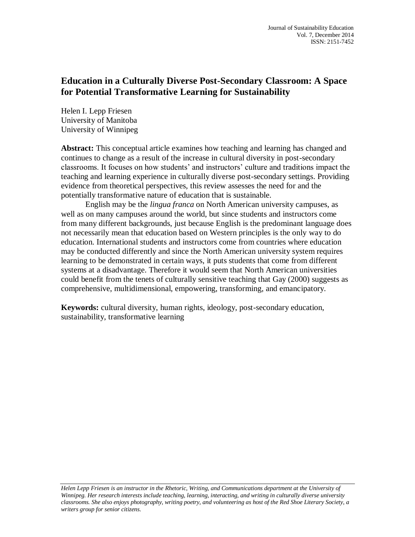# **Education in a Culturally Diverse Post-Secondary Classroom: A Space for Potential Transformative Learning for Sustainability**

Helen I. Lepp Friesen University of Manitoba University of Winnipeg

**Abstract:** This conceptual article examines how teaching and learning has changed and continues to change as a result of the increase in cultural diversity in post-secondary classrooms. It focuses on how students' and instructors' culture and traditions impact the teaching and learning experience in culturally diverse post-secondary settings. Providing evidence from theoretical perspectives, this review assesses the need for and the potentially transformative nature of education that is sustainable.

English may be the *lingua franca* on North American university campuses, as well as on many campuses around the world, but since students and instructors come from many different backgrounds, just because English is the predominant language does not necessarily mean that education based on Western principles is the only way to do education. International students and instructors come from countries where education may be conducted differently and since the North American university system requires learning to be demonstrated in certain ways, it puts students that come from different systems at a disadvantage. Therefore it would seem that North American universities could benefit from the tenets of culturally sensitive teaching that Gay (2000) suggests as comprehensive, multidimensional, empowering, transforming, and emancipatory.

**Keywords:** cultural diversity, human rights, ideology, post-secondary education, sustainability, transformative learning

*Helen Lepp Friesen is an instructor in the Rhetoric, Writing, and Communications department at the University of Winnipeg. Her research interests include teaching, learning, interacting, and writing in culturally diverse university classrooms. She also enjoys photography, writing poetry, and volunteering as host of the Red Shoe Literary Society, a writers group for senior citizens.*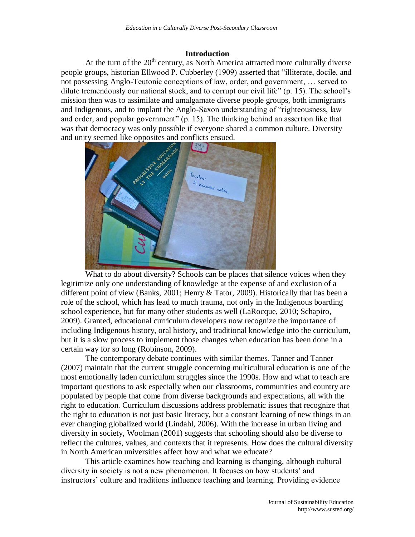#### **Introduction**

At the turn of the  $20<sup>th</sup>$  century, as North America attracted more culturally diverse people groups, historian Ellwood P. Cubberley (1909) asserted that "illiterate, docile, and not possessing Anglo-Teutonic conceptions of law, order, and government, … served to dilute tremendously our national stock, and to corrupt our civil life" (p. 15). The school's mission then was to assimilate and amalgamate diverse people groups, both immigrants and Indigenous, and to implant the Anglo-Saxon understanding of "righteousness, law and order, and popular government" (p. 15). The thinking behind an assertion like that was that democracy was only possible if everyone shared a common culture. Diversity and unity seemed like opposites and conflicts ensued.



What to do about diversity? Schools can be places that silence voices when they legitimize only one understanding of knowledge at the expense of and exclusion of a different point of view (Banks, 2001; Henry & Tator, 2009). Historically that has been a role of the school, which has lead to much trauma, not only in the Indigenous boarding school experience, but for many other students as well (LaRocque, 2010; Schapiro, 2009). Granted, educational curriculum developers now recognize the importance of including Indigenous history, oral history, and traditional knowledge into the curriculum, but it is a slow process to implement those changes when education has been done in a certain way for so long (Robinson, 2009).

The contemporary debate continues with similar themes. Tanner and Tanner (2007) maintain that the current struggle concerning multicultural education is one of the most emotionally laden curriculum struggles since the 1990s. How and what to teach are important questions to ask especially when our classrooms, communities and country are populated by people that come from diverse backgrounds and expectations, all with the right to education. Curriculum discussions address problematic issues that recognize that the right to education is not just basic literacy, but a constant learning of new things in an ever changing globalized world (Lindahl, 2006). With the increase in urban living and diversity in society, Woolman (2001) suggests that schooling should also be diverse to reflect the cultures, values, and contexts that it represents. How does the cultural diversity in North American universities affect how and what we educate?

This article examines how teaching and learning is changing, although cultural diversity in society is not a new phenomenon. It focuses on how students' and instructors' culture and traditions influence teaching and learning. Providing evidence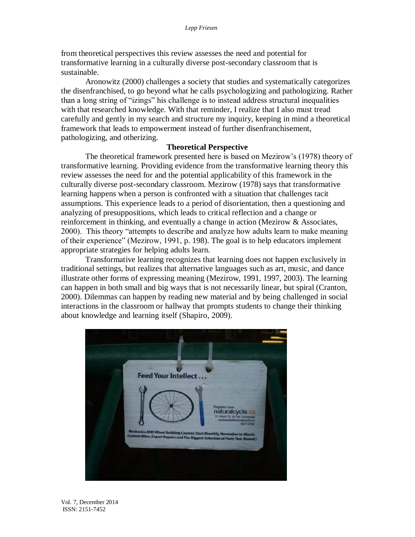from theoretical perspectives this review assesses the need and potential for transformative learning in a culturally diverse post-secondary classroom that is sustainable.

Aronowitz (2000) challenges a society that studies and systematically categorizes the disenfranchised, to go beyond what he calls psychologizing and pathologizing. Rather than a long string of "izings" his challenge is to instead address structural inequalities with that researched knowledge. With that reminder, I realize that I also must tread carefully and gently in my search and structure my inquiry, keeping in mind a theoretical framework that leads to empowerment instead of further disenfranchisement, pathologizing, and otherizing.

## **Theoretical Perspective**

The theoretical framework presented here is based on Mezirow's (1978) theory of transformative learning. Providing evidence from the transformative learning theory this review assesses the need for and the potential applicability of this framework in the culturally diverse post-secondary classroom. Mezirow (1978) says that transformative learning happens when a person is confronted with a situation that challenges tacit assumptions. This experience leads to a period of disorientation, then a questioning and analyzing of presuppositions, which leads to critical reflection and a change or reinforcement in thinking, and eventually a change in action (Mezirow & Associates, 2000). This theory "attempts to describe and analyze how adults learn to make meaning of their experience" (Mezirow, 1991, p. 198). The goal is to help educators implement appropriate strategies for helping adults learn.

Transformative learning recognizes that learning does not happen exclusively in traditional settings, but realizes that alternative languages such as art, music, and dance illustrate other forms of expressing meaning (Mezirow, 1991, 1997, 2003). The learning can happen in both small and big ways that is not necessarily linear, but spiral (Cranton, 2000). Dilemmas can happen by reading new material and by being challenged in social interactions in the classroom or hallway that prompts students to change their thinking about knowledge and learning itself (Shapiro, 2009).



Vol. 7, December 2014 ISSN: 2151-7452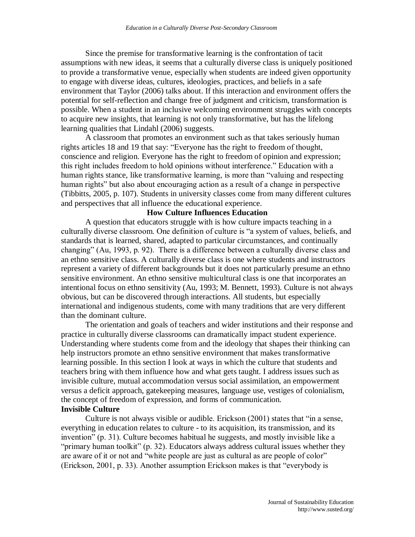Since the premise for transformative learning is the confrontation of tacit assumptions with new ideas, it seems that a culturally diverse class is uniquely positioned to provide a transformative venue, especially when students are indeed given opportunity to engage with diverse ideas, cultures, ideologies, practices, and beliefs in a safe environment that Taylor (2006) talks about. If this interaction and environment offers the potential for self-reflection and change free of judgment and criticism, transformation is possible. When a student in an inclusive welcoming environment struggles with concepts to acquire new insights, that learning is not only transformative, but has the lifelong learning qualities that Lindahl (2006) suggests.

A classroom that promotes an environment such as that takes seriously human rights articles 18 and 19 that say: "Everyone has the right to freedom of thought, conscience and religion. Everyone has the right to freedom of opinion and expression; this right includes freedom to hold opinions without interference." Education with a human rights stance, like transformative learning, is more than "valuing and respecting human rights" but also about encouraging action as a result of a change in perspective (Tibbitts, 2005, p. 107). Students in university classes come from many different cultures and perspectives that all influence the educational experience.

## **How Culture Influences Education**

A question that educators struggle with is how culture impacts teaching in a culturally diverse classroom. One definition of culture is "a system of values, beliefs, and standards that is learned, shared, adapted to particular circumstances, and continually changing" (Au, 1993, p. 92). There is a difference between a culturally diverse class and an ethno sensitive class. A culturally diverse class is one where students and instructors represent a variety of different backgrounds but it does not particularly presume an ethno sensitive environment. An ethno sensitive multicultural class is one that incorporates an intentional focus on ethno sensitivity (Au, 1993; M. Bennett, 1993). Culture is not always obvious, but can be discovered through interactions. All students, but especially international and indigenous students, come with many traditions that are very different than the dominant culture.

The orientation and goals of teachers and wider institutions and their response and practice in culturally diverse classrooms can dramatically impact student experience. Understanding where students come from and the ideology that shapes their thinking can help instructors promote an ethno sensitive environment that makes transformative learning possible. In this section I look at ways in which the culture that students and teachers bring with them influence how and what gets taught. I address issues such as invisible culture, mutual accommodation versus social assimilation, an empowerment versus a deficit approach, gatekeeping measures, language use, vestiges of colonialism, the concept of freedom of expression, and forms of communication. **Invisible Culture**

Culture is not always visible or audible. Erickson (2001) states that "in a sense, everything in education relates to culture - to its acquisition, its transmission, and its invention" (p. 31). Culture becomes habitual he suggests, and mostly invisible like a "primary human toolkit" (p. 32). Educators always address cultural issues whether they are aware of it or not and "white people are just as cultural as are people of color" (Erickson, 2001, p. 33). Another assumption Erickson makes is that "everybody is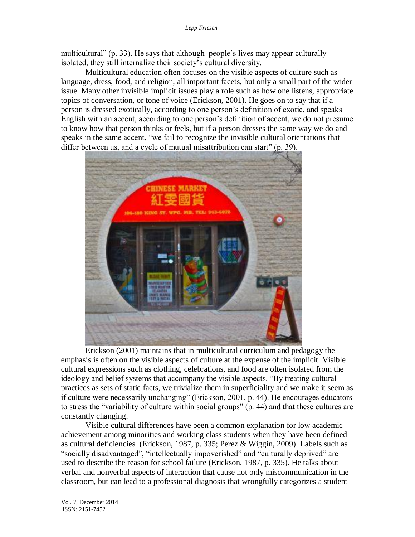multicultural" (p. 33). He says that although people's lives may appear culturally isolated, they still internalize their society's cultural diversity.

Multicultural education often focuses on the visible aspects of culture such as language, dress, food, and religion, all important facets, but only a small part of the wider issue. Many other invisible implicit issues play a role such as how one listens, appropriate topics of conversation, or tone of voice (Erickson, 2001). He goes on to say that if a person is dressed exotically, according to one person's definition of exotic, and speaks English with an accent, according to one person's definition of accent, we do not presume to know how that person thinks or feels, but if a person dresses the same way we do and speaks in the same accent, "we fail to recognize the invisible cultural orientations that differ between us, and a cycle of mutual misattribution can start" (p. 39).



Erickson (2001) maintains that in multicultural curriculum and pedagogy the emphasis is often on the visible aspects of culture at the expense of the implicit. Visible cultural expressions such as clothing, celebrations, and food are often isolated from the ideology and belief systems that accompany the visible aspects. "By treating cultural practices as sets of static facts, we trivialize them in superficiality and we make it seem as if culture were necessarily unchanging" (Erickson, 2001, p. 44). He encourages educators to stress the "variability of culture within social groups" (p. 44) and that these cultures are constantly changing.

Visible cultural differences have been a common explanation for low academic achievement among minorities and working class students when they have been defined as cultural deficiencies (Erickson, 1987, p. 335; Perez & Wiggin, 2009). Labels such as "socially disadvantaged", "intellectually impoverished" and "culturally deprived" are used to describe the reason for school failure (Erickson, 1987, p. 335). He talks about verbal and nonverbal aspects of interaction that cause not only miscommunication in the classroom, but can lead to a professional diagnosis that wrongfully categorizes a student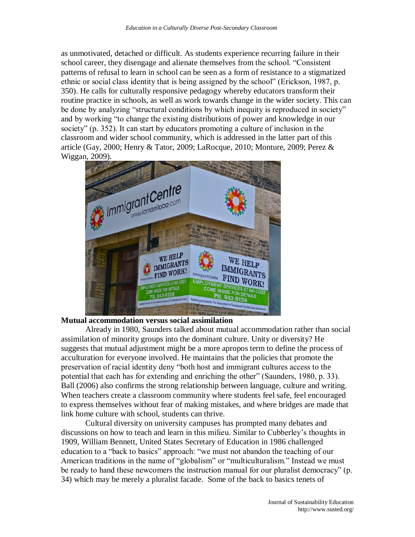as unmotivated, detached or difficult. As students experience recurring failure in their school career, they disengage and alienate themselves from the school. "Consistent patterns of refusal to learn in school can be seen as a form of resistance to a stigmatized ethnic or social class identity that is being assigned by the school" (Erickson, 1987, p. 350). He calls for culturally responsive pedagogy whereby educators transform their routine practice in schools, as well as work towards change in the wider society. This can be done by analyzing "structural conditions by which inequity is reproduced in society" and by working "to change the existing distributions of power and knowledge in our society" (p. 352). It can start by educators promoting a culture of inclusion in the classroom and wider school community, which is addressed in the latter part of this article (Gay, 2000; Henry & Tator, 2009; LaRocque, 2010; Monture, 2009; Perez & Wiggan, 2009).



## **Mutual accommodation versus social assimilation**

Already in 1980, Saunders talked about mutual accommodation rather than social assimilation of minority groups into the dominant culture. Unity or diversity? He suggests that mutual adjustment might be a more apropos term to define the process of acculturation for everyone involved. He maintains that the policies that promote the preservation of racial identity deny "both host and immigrant cultures access to the potential that each has for extending and enriching the other" (Saunders, 1980, p. 33). Ball (2006) also confirms the strong relationship between language, culture and writing. When teachers create a classroom community where students feel safe, feel encouraged to express themselves without fear of making mistakes, and where bridges are made that link home culture with school, students can thrive.

Cultural diversity on university campuses has prompted many debates and discussions on how to teach and learn in this milieu. Similar to Cubberley's thoughts in 1909, William Bennett, United States Secretary of Education in 1986 challenged education to a "back to basics" approach: "we must not abandon the teaching of our American traditions in the name of "globalism" or "multiculturalism." Instead we must be ready to hand these newcomers the instruction manual for our pluralist democracy" (p. 34) which may be merely a pluralist facade. Some of the back to basics tenets of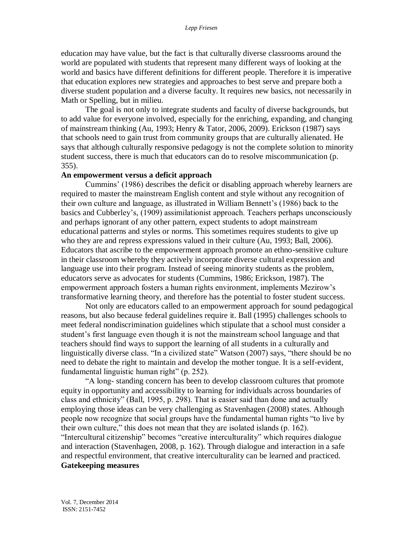education may have value, but the fact is that culturally diverse classrooms around the world are populated with students that represent many different ways of looking at the world and basics have different definitions for different people. Therefore it is imperative that education explores new strategies and approaches to best serve and prepare both a diverse student population and a diverse faculty. It requires new basics, not necessarily in Math or Spelling, but in milieu.

The goal is not only to integrate students and faculty of diverse backgrounds, but to add value for everyone involved, especially for the enriching, expanding, and changing of mainstream thinking (Au, 1993; Henry & Tator, 2006, 2009). Erickson (1987) says that schools need to gain trust from community groups that are culturally alienated. He says that although culturally responsive pedagogy is not the complete solution to minority student success, there is much that educators can do to resolve miscommunication (p. 355).

#### **An empowerment versus a deficit approach**

Cummins' (1986) describes the deficit or disabling approach whereby learners are required to master the mainstream English content and style without any recognition of their own culture and language, as illustrated in William Bennett's (1986) back to the basics and Cubberley's, (1909) assimilationist approach. Teachers perhaps unconsciously and perhaps ignorant of any other pattern, expect students to adopt mainstream educational patterns and styles or norms. This sometimes requires students to give up who they are and repress expressions valued in their culture (Au, 1993; Ball, 2006). Educators that ascribe to the empowerment approach promote an ethno-sensitive culture in their classroom whereby they actively incorporate diverse cultural expression and language use into their program. Instead of seeing minority students as the problem, educators serve as advocates for students (Cummins, 1986; Erickson, 1987). The empowerment approach fosters a human rights environment, implements Mezirow's transformative learning theory, and therefore has the potential to foster student success.

Not only are educators called to an empowerment approach for sound pedagogical reasons, but also because federal guidelines require it. Ball (1995) challenges schools to meet federal nondiscrimination guidelines which stipulate that a school must consider a student's first language even though it is not the mainstream school language and that teachers should find ways to support the learning of all students in a culturally and linguistically diverse class. "In a civilized state" Watson (2007) says, "there should be no need to debate the right to maintain and develop the mother tongue. It is a self-evident, fundamental linguistic human right" (p. 252).

"A long- standing concern has been to develop classroom cultures that promote equity in opportunity and accessibility to learning for individuals across boundaries of class and ethnicity" (Ball, 1995, p. 298). That is easier said than done and actually employing those ideas can be very challenging as Stavenhagen (2008) states. Although people now recognize that social groups have the fundamental human rights "to live by their own culture," this does not mean that they are isolated islands (p. 162).

"Intercultural citizenship" becomes "creative interculturality" which requires dialogue and interaction (Stavenhagen, 2008, p. 162). Through dialogue and interaction in a safe and respectful environment, that creative interculturality can be learned and practiced. **Gatekeeping measures**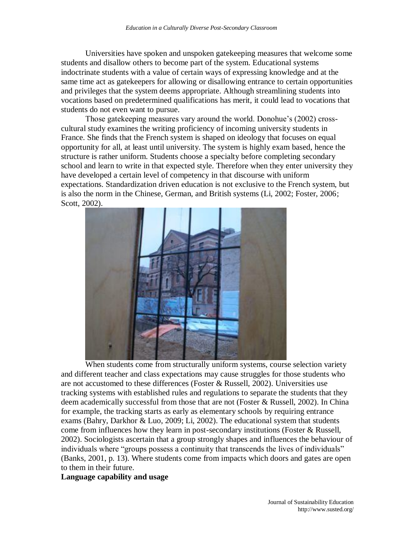Universities have spoken and unspoken gatekeeping measures that welcome some students and disallow others to become part of the system. Educational systems indoctrinate students with a value of certain ways of expressing knowledge and at the same time act as gatekeepers for allowing or disallowing entrance to certain opportunities and privileges that the system deems appropriate. Although streamlining students into vocations based on predetermined qualifications has merit, it could lead to vocations that students do not even want to pursue.

Those gatekeeping measures vary around the world. Donohue's (2002) crosscultural study examines the writing proficiency of incoming university students in France. She finds that the French system is shaped on ideology that focuses on equal opportunity for all, at least until university. The system is highly exam based, hence the structure is rather uniform. Students choose a specialty before completing secondary school and learn to write in that expected style. Therefore when they enter university they have developed a certain level of competency in that discourse with uniform expectations. Standardization driven education is not exclusive to the French system, but is also the norm in the Chinese, German, and British systems (Li, 2002; Foster, 2006; Scott, 2002).



When students come from structurally uniform systems, course selection variety and different teacher and class expectations may cause struggles for those students who are not accustomed to these differences (Foster & Russell, 2002). Universities use tracking systems with established rules and regulations to separate the students that they deem academically successful from those that are not (Foster & Russell, 2002). In China for example, the tracking starts as early as elementary schools by requiring entrance exams (Bahry, Darkhor & Luo, 2009; Li, 2002). The educational system that students come from influences how they learn in post-secondary institutions (Foster & Russell, 2002). Sociologists ascertain that a group strongly shapes and influences the behaviour of individuals where "groups possess a continuity that transcends the lives of individuals" (Banks, 2001, p. 13). Where students come from impacts which doors and gates are open to them in their future.

### **Language capability and usage**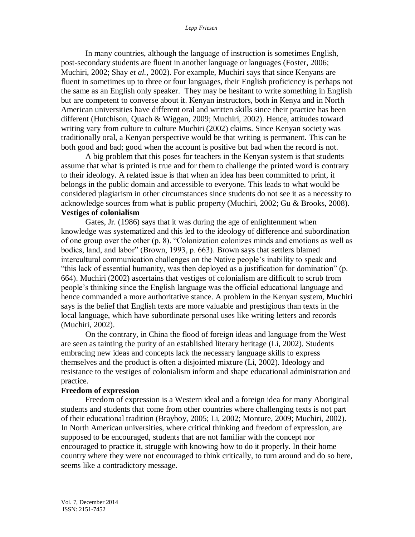In many countries, although the language of instruction is sometimes English, post-secondary students are fluent in another language or languages (Foster, 2006; Muchiri, 2002; Shay *et al.,* 2002). For example, Muchiri says that since Kenyans are fluent in sometimes up to three or four languages, their English proficiency is perhaps not the same as an English only speaker. They may be hesitant to write something in English but are competent to converse about it. Kenyan instructors, both in Kenya and in North American universities have different oral and written skills since their practice has been different (Hutchison, Quach & Wiggan, 2009; Muchiri, 2002). Hence, attitudes toward writing vary from culture to culture Muchiri (2002) claims. Since Kenyan society was traditionally oral, a Kenyan perspective would be that writing is permanent. This can be both good and bad; good when the account is positive but bad when the record is not.

A big problem that this poses for teachers in the Kenyan system is that students assume that what is printed is true and for them to challenge the printed word is contrary to their ideology. A related issue is that when an idea has been committed to print, it belongs in the public domain and accessible to everyone. This leads to what would be considered plagiarism in other circumstances since students do not see it as a necessity to acknowledge sources from what is public property (Muchiri, 2002; Gu & Brooks, 2008). **Vestiges of colonialism** 

Gates, Jr. (1986) says that it was during the age of enlightenment when knowledge was systematized and this led to the ideology of difference and subordination of one group over the other (p. 8). "Colonization colonizes minds and emotions as well as bodies, land, and labor" (Brown, 1993, p. 663). Brown says that settlers blamed intercultural communication challenges on the Native people's inability to speak and "this lack of essential humanity, was then deployed as a justification for domination" (p. 664). Muchiri (2002) ascertains that vestiges of colonialism are difficult to scrub from people's thinking since the English language was the official educational language and hence commanded a more authoritative stance. A problem in the Kenyan system, Muchiri says is the belief that English texts are more valuable and prestigious than texts in the local language, which have subordinate personal uses like writing letters and records (Muchiri, 2002).

On the contrary, in China the flood of foreign ideas and language from the West are seen as tainting the purity of an established literary heritage (Li, 2002). Students embracing new ideas and concepts lack the necessary language skills to express themselves and the product is often a disjointed mixture (Li, 2002). Ideology and resistance to the vestiges of colonialism inform and shape educational administration and practice.

### **Freedom of expression**

Freedom of expression is a Western ideal and a foreign idea for many Aboriginal students and students that come from other countries where challenging texts is not part of their educational tradition (Brayboy, 2005; Li, 2002; Monture, 2009; Muchiri, 2002). In North American universities, where critical thinking and freedom of expression, are supposed to be encouraged, students that are not familiar with the concept nor encouraged to practice it, struggle with knowing how to do it properly. In their home country where they were not encouraged to think critically, to turn around and do so here, seems like a contradictory message.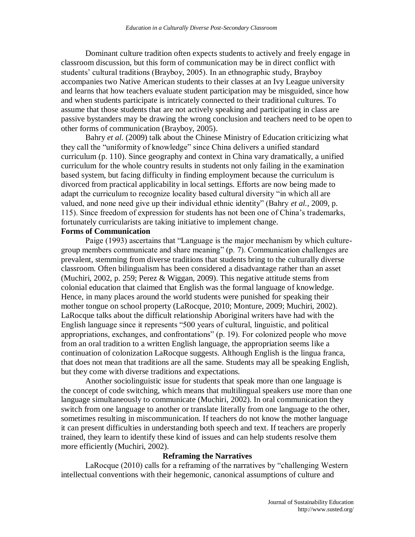Dominant culture tradition often expects students to actively and freely engage in classroom discussion, but this form of communication may be in direct conflict with students' cultural traditions (Brayboy, 2005). In an ethnographic study, Brayboy accompanies two Native American students to their classes at an Ivy League university and learns that how teachers evaluate student participation may be misguided, since how and when students participate is intricately connected to their traditional cultures. To assume that those students that are not actively speaking and participating in class are passive bystanders may be drawing the wrong conclusion and teachers need to be open to other forms of communication (Brayboy, 2005).

Bahry *et al*. (2009) talk about the Chinese Ministry of Education criticizing what they call the "uniformity of knowledge" since China delivers a unified standard curriculum (p. 110). Since geography and context in China vary dramatically, a unified curriculum for the whole country results in students not only failing in the examination based system, but facing difficulty in finding employment because the curriculum is divorced from practical applicability in local settings. Efforts are now being made to adapt the curriculum to recognize locality based cultural diversity "in which all are valued, and none need give up their individual ethnic identity" (Bahry *et al.*, 2009, p. 115). Since freedom of expression for students has not been one of China's trademarks, fortunately curricularists are taking initiative to implement change.

## **Forms of Communication**

Paige (1993) ascertains that "Language is the major mechanism by which culturegroup members communicate and share meaning" (p. 7). Communication challenges are prevalent, stemming from diverse traditions that students bring to the culturally diverse classroom. Often bilingualism has been considered a disadvantage rather than an asset (Muchiri, 2002, p. 259; Perez & Wiggan, 2009). This negative attitude stems from colonial education that claimed that English was the formal language of knowledge. Hence, in many places around the world students were punished for speaking their mother tongue on school property (LaRocque, 2010; Monture, 2009; Muchiri, 2002). LaRocque talks about the difficult relationship Aboriginal writers have had with the English language since it represents "500 years of cultural, linguistic, and political appropriations, exchanges, and confrontations" (p. 19). For colonized people who move from an oral tradition to a written English language, the appropriation seems like a continuation of colonization LaRocque suggests. Although English is the lingua franca, that does not mean that traditions are all the same. Students may all be speaking English, but they come with diverse traditions and expectations.

Another sociolinguistic issue for students that speak more than one language is the concept of code switching, which means that multilingual speakers use more than one language simultaneously to communicate (Muchiri, 2002). In oral communication they switch from one language to another or translate literally from one language to the other, sometimes resulting in miscommunication. If teachers do not know the mother language it can present difficulties in understanding both speech and text. If teachers are properly trained, they learn to identify these kind of issues and can help students resolve them more efficiently (Muchiri, 2002).

### **Reframing the Narratives**

LaRocque (2010) calls for a reframing of the narratives by "challenging Western intellectual conventions with their hegemonic, canonical assumptions of culture and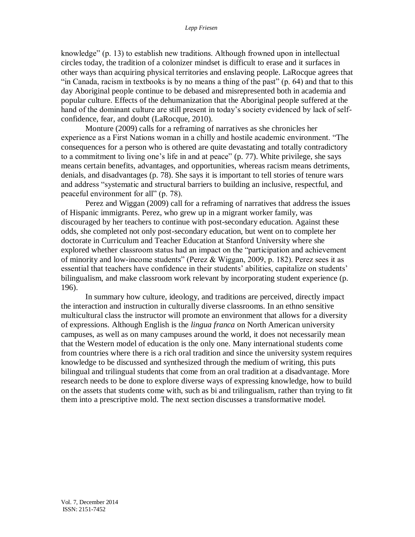knowledge" (p. 13) to establish new traditions. Although frowned upon in intellectual circles today, the tradition of a colonizer mindset is difficult to erase and it surfaces in other ways than acquiring physical territories and enslaving people. LaRocque agrees that "in Canada, racism in textbooks is by no means a thing of the past" (p. 64) and that to this day Aboriginal people continue to be debased and misrepresented both in academia and popular culture. Effects of the dehumanization that the Aboriginal people suffered at the hand of the dominant culture are still present in today's society evidenced by lack of selfconfidence, fear, and doubt (LaRocque, 2010).

Monture (2009) calls for a reframing of narratives as she chronicles her experience as a First Nations woman in a chilly and hostile academic environment. "The consequences for a person who is othered are quite devastating and totally contradictory to a commitment to living one's life in and at peace" (p. 77). White privilege, she says means certain benefits, advantages, and opportunities, whereas racism means detriments, denials, and disadvantages (p. 78). She says it is important to tell stories of tenure wars and address "systematic and structural barriers to building an inclusive, respectful, and peaceful environment for all" (p. 78).

Perez and Wiggan (2009) call for a reframing of narratives that address the issues of Hispanic immigrants. Perez, who grew up in a migrant worker family, was discouraged by her teachers to continue with post-secondary education. Against these odds, she completed not only post-secondary education, but went on to complete her doctorate in Curriculum and Teacher Education at Stanford University where she explored whether classroom status had an impact on the "participation and achievement of minority and low-income students" (Perez & Wiggan, 2009, p. 182). Perez sees it as essential that teachers have confidence in their students' abilities, capitalize on students' bilingualism, and make classroom work relevant by incorporating student experience (p. 196).

In summary how culture, ideology, and traditions are perceived, directly impact the interaction and instruction in culturally diverse classrooms. In an ethno sensitive multicultural class the instructor will promote an environment that allows for a diversity of expressions. Although English is the *lingua franca* on North American university campuses, as well as on many campuses around the world, it does not necessarily mean that the Western model of education is the only one. Many international students come from countries where there is a rich oral tradition and since the university system requires knowledge to be discussed and synthesized through the medium of writing, this puts bilingual and trilingual students that come from an oral tradition at a disadvantage. More research needs to be done to explore diverse ways of expressing knowledge, how to build on the assets that students come with, such as bi and trilingualism, rather than trying to fit them into a prescriptive mold. The next section discusses a transformative model.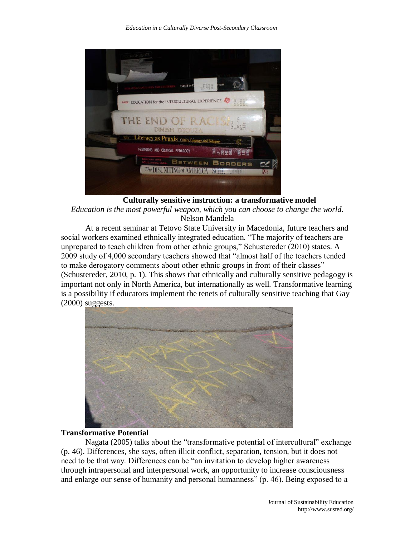| vram<br><b>SHIEL</b><br>Edited by                                                                 |  |
|---------------------------------------------------------------------------------------------------|--|
| EDUCATION for the INTERCULTURAL EXPERIENCE<br>$rac{3}{5000}$<br>PAIGE<br><b>AT LE WITH THE IT</b> |  |
| THE END OF RACE<br>$\overline{a}$<br>14<br>E<br>185.<br>1995<br><b>DINESH D'SOUZA</b>             |  |
| Literacy as Praxis Culture, Language, and Pedagogy                                                |  |
| FEMINISMS AND CRITICAL PEDAGOGY<br>89828                                                          |  |
| Ginoux and<br>McLinew, eds.<br>BETWEEN BORDERS<br>The DISUNITING of AMERI<br>SCIIL<br>1358        |  |
| <b>GASHES</b>                                                                                     |  |

**Culturally sensitive instruction: a transformative model** *Education is the most powerful weapon, which you can choose to change the world.*  Nelson Mandela

At a recent seminar at Tetovo State University in Macedonia, future teachers and social workers examined ethnically integrated education. "The majority of teachers are unprepared to teach children from other ethnic groups," Schustereder (2010) states. A 2009 study of 4,000 secondary teachers showed that "almost half of the teachers tended to make derogatory comments about other ethnic groups in front of their classes" (Schustereder, 2010, p. 1). This shows that ethnically and culturally sensitive pedagogy is important not only in North America, but internationally as well. Transformative learning is a possibility if educators implement the tenets of culturally sensitive teaching that Gay  $(2000)$  suggests.



## **Transformative Potential**

Nagata (2005) talks about the "transformative potential of intercultural" exchange (p. 46). Differences, she says, often illicit conflict, separation, tension, but it does not need to be that way. Differences can be "an invitation to develop higher awareness through intrapersonal and interpersonal work, an opportunity to increase consciousness and enlarge our sense of humanity and personal humanness" (p. 46). Being exposed to a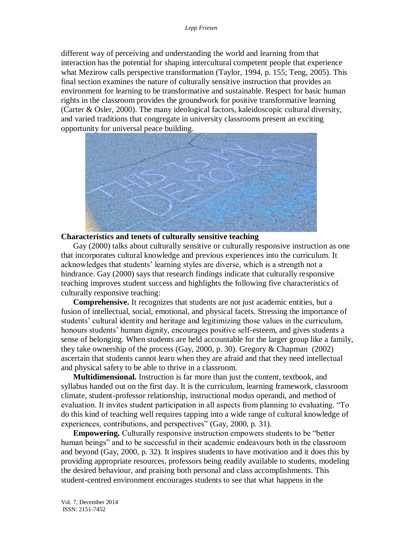different way of perceiving and understanding the world and learning from that interaction has the potential for shaping intercultural competent people that experience what Mezirow calls perspective transformation (Taylor, 1994, p. 155; Teng, 2005). This final section examines the nature of culturally sensitive instruction that provides an environment for learning to be transformative and sustainable. Respect for basic human rights in the classroom provides the groundwork for positive transformative learning (Carter & Osler, 2000). The many ideological factors, kaleidoscopic cultural diversity, and varied traditions that congregate in university classrooms present an exciting opportunity for universal peace building.



## **Characteristics and tenets of culturally sensitive teaching**

Gay (2000) talks about culturally sensitive or culturally responsive instruction as one that incorporates cultural knowledge and previous experiences into the curriculum. It acknowledges that students' learning styles are diverse, which is a strength not a hindrance. Gay (2000) says that research findings indicate that culturally responsive teaching improves student success and highlights the following five characteristics of culturally responsive teaching:

**Comprehensive.** It recognizes that students are not just academic entities, but a fusion of intellectual, social, emotional, and physical facets. Stressing the importance of students' cultural identity and heritage and legitimizing those values in the curriculum, honours students' human dignity, encourages positive self-esteem, and gives students a sense of belonging. When students are held accountable for the larger group like a family, they take ownership of the process (Gay, 2000, p. 30). Gregory & Chapman (2002) ascertain that students cannot learn when they are afraid and that they need intellectual and physical safety to be able to thrive in a classroom.

**Multidimensional.** Instruction is far more than just the content, textbook, and syllabus handed out on the first day. It is the curriculum, learning framework, classroom climate, student-professor relationship, instructional modus operandi, and method of evaluation. It invites student participation in all aspects from planning to evaluating. "To do this kind of teaching well requires tapping into a wide range of cultural knowledge of experiences, contributions, and perspectives" (Gay, 2000, p. 31).

**Empowering.** Culturally responsive instruction empowers students to be "better human beings" and to be successful in their academic endeavours both in the classroom and beyond (Gay, 2000, p. 32). It inspires students to have motivation and it does this by providing appropriate resources, professors being readily available to students, modeling the desired behaviour, and praising both personal and class accomplishments. This student-centred environment encourages students to see that what happens in the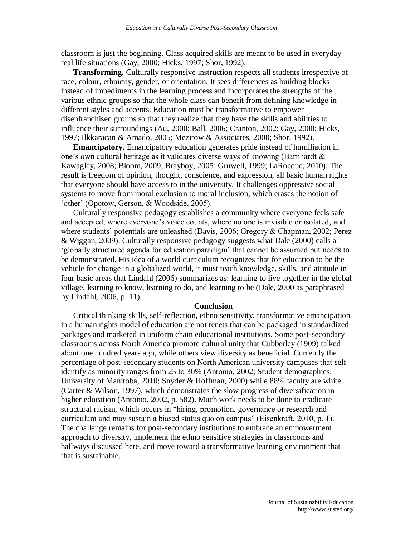classroom is just the beginning. Class acquired skills are meant to be used in everyday real life situations (Gay, 2000; Hicks, 1997; Shor, 1992).

**Transforming.** Culturally responsive instruction respects all students irrespective of race, colour, ethnicity, gender, or orientation. It sees differences as building blocks instead of impediments in the learning process and incorporates the strengths of the various ethnic groups so that the whole class can benefit from defining knowledge in different styles and accents. Education must be transformative to empower disenfranchised groups so that they realize that they have the skills and abilities to influence their surroundings (Au, 2000; Ball, 2006; Cranton, 2002; Gay, 2000; Hicks, 1997; Ilkkaracan & Amado, 2005; Mezirow & Associates, 2000; Shor, 1992).

**Emancipatory.** Emancipatory education generates pride instead of humiliation in one's own cultural heritage as it validates diverse ways of knowing (Barnhardt & Kawagley, 2008; Bloom, 2009; Brayboy, 2005; Gruwell, 1999; LaRocque, 2010). The result is freedom of opinion, thought, conscience, and expression, all basic human rights that everyone should have access to in the university. It challenges oppressive social systems to move from moral exclusion to moral inclusion, which erases the notion of 'other' (Opotow, Gerson, & Woodside, 2005).

Culturally responsive pedagogy establishes a community where everyone feels safe and accepted, where everyone's voice counts, where no one is invisible or isolated, and where students' potentials are unleashed (Davis, 2006; Gregory & Chapman, 2002; Perez & Wiggan, 2009). Culturally responsive pedagogy suggests what Dale (2000) calls a 'globally structured agenda for education paradigm' that cannot be assumed but needs to be demonstrated. His idea of a world curriculum recognizes that for education to be the vehicle for change in a globalized world, it must teach knowledge, skills, and attitude in four basic areas that Lindahl (2006) summarizes as: learning to live together in the global village, learning to know, learning to do, and learning to be (Dale, 2000 as paraphrased by Lindahl, 2006, p. 11).

#### **Conclusion**

Critical thinking skills, self-reflection, ethno sensitivity, transformative emancipation in a human rights model of education are not tenets that can be packaged in standardized packages and marketed in uniform chain educational institutions. Some post-secondary classrooms across North America promote cultural unity that Cubberley (1909) talked about one hundred years ago, while others view diversity as beneficial. Currently the percentage of post-secondary students on North American university campuses that self identify as minority ranges from 25 to 30% (Antonio, 2002; Student demographics: University of Manitoba, 2010; Snyder & Hoffman, 2000) while 88% faculty are white (Carter & Wilson, 1997), which demonstrates the slow progress of diversification in higher education (Antonio, 2002, p. 582). Much work needs to be done to eradicate structural racism, which occurs in "hiring, promotion, governance or research and curriculum and may sustain a biased status quo on campus" (Eisenkraft, 2010, p. 1). The challenge remains for post-secondary institutions to embrace an empowerment approach to diversity, implement the ethno sensitive strategies in classrooms and hallways discussed here, and move toward a transformative learning environment that that is sustainable.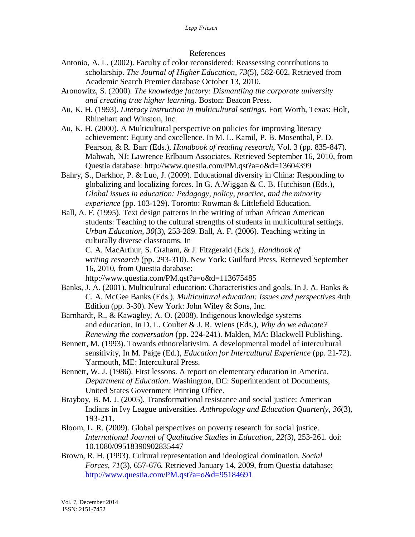## References

- Antonio, A. L. (2002). Faculty of color reconsidered: Reassessing contributions to scholarship. *The Journal of Higher Education*, *73*(5), 582-602. Retrieved from Academic Search Premier database October 13, 2010.
- Aronowitz, S. (2000). *The knowledge factory: Dismantling the corporate university and creating true higher learning*. Boston: Beacon Press.
- Au, K. H. (1993). *Literacy instruction in multicultural settings*. Fort Worth, Texas: Holt, Rhinehart and Winston, Inc.
- Au, K. H. (2000). A Multicultural perspective on policies for improving literacy achievement: Equity and excellence. In M. L. Kamil, P. B. Mosenthal, P. D. Pearson, & R. Barr (Eds.), *Handbook of reading research*, Vol. 3 (pp. 835-847). Mahwah, NJ: Lawrence Erlbaum Associates. Retrieved September 16, 2010, from Questia database: http://www.questia.com/PM.qst?a=o&d=13604399
- Bahry, S., Darkhor, P. & Luo, J. (2009). Educational diversity in China: Responding to globalizing and localizing forces. In G. A.Wiggan & C. B. Hutchison (Eds.), *Global issues in education: Pedagogy, policy, practice, and the minority experience* (pp. 103-129). Toronto: Rowman & Littlefield Education.

Ball, A. F. (1995). Text design patterns in the writing of urban African American students: Teaching to the cultural strengths of students in multicultural settings. *Urban Education*, *30*(3), 253-289. Ball, A. F. (2006). Teaching writing in culturally diverse classrooms. In C. A. MacArthur, S. Graham, & J. Fitzgerald (Eds.), *Handbook of writing research* (pp. 293-310). New York: Guilford Press. Retrieved September 16, 2010, from Questia database:

http://www.questia.com/PM.qst?a=o&d=113675485

- Banks, J. A. (2001). Multicultural education: Characteristics and goals. In J. A. Banks & C. A. McGee Banks (Eds.), *Multicultural education: Issues and perspectives* 4rth Edition (pp. 3-30). New York: John Wiley & Sons, Inc.
- Barnhardt, R., & Kawagley, A. O. (2008). Indigenous knowledge systems and education. In D. L. Coulter & J. R. Wiens (Eds.), *Why do we educate? Renewing the conversation* (pp. 224-241). Malden, MA: Blackwell Publishing.
- Bennett, M. (1993). Towards ethnorelativsim. A developmental model of intercultural sensitivity, In M. Paige (Ed.), *Education for Intercultural Experience* (pp. 21-72). Yarmouth, ME: Intercultural Press.
- Bennett, W. J. (1986). First lessons. A report on elementary education in America. *Department of Education*. Washington, DC: Superintendent of Documents, United States Government Printing Office.
- Brayboy, B. M. J. (2005). Transformational resistance and social justice: American Indians in Ivy League universities. *Anthropology and Education Quarterly*, *36*(3), 193-211.
- Bloom, L. R. (2009). Global perspectives on poverty research for social justice. *International Journal of Qualitative Studies in Education*, *22*(3), 253-261. doi: 10.1080/09518390902835447
- Brown, R. H. (1993). Cultural representation and ideological domination. *Social Forces, 71*(3), 657-676. Retrieved January 14, 2009, from Questia database: <http://www.questia.com/PM.qst?a=o&d=95184691>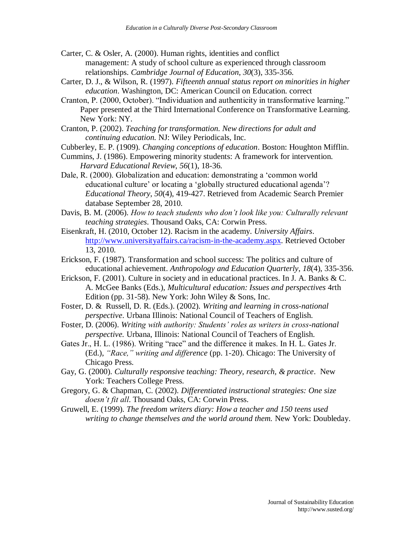- Carter, C. & Osler, A. (2000). Human rights, identities and conflict management: A study of school culture as experienced through classroom relationships. *Cambridge Journal of Education*, *30*(3), 335-356.
- Carter, D. J., & Wilson, R. (1997). *Fifteenth annual status report on minorities in higher education*. Washington, DC: American Council on Education. correct
- Cranton, P. (2000, October). "Individuation and authenticity in transformative learning." Paper presented at the Third International Conference on Transformative Learning. New York: NY.
- Cranton, P. (2002). *Teaching for transformation. New directions for adult and continuing education.* NJ: Wiley Periodicals, Inc.
- Cubberley, E. P. (1909). *Changing conceptions of education*. Boston: Houghton Mifflin.
- Cummins, J. (1986). Empowering minority students: A framework for intervention. *Harvard Educational Review*, *56*(1), 18-36.
- Dale, R. (2000). Globalization and education: demonstrating a 'common world educational culture' or locating a 'globally structured educational agenda'? *Educational Theory*, *50*(4), 419-427. Retrieved from Academic Search Premier database September 28, 2010.
- Davis, B. M. (2006). *How to teach students who don't look like you: Culturally relevant teaching strategies*. Thousand Oaks, CA: Corwin Press.
- Eisenkraft, H. (2010, October 12). Racism in the academy. *University Affairs*. [http://www.universityaffairs.ca/racism-in-the-academy.aspx.](http://www.universityaffairs.ca/racism-in-the-academy.aspx) Retrieved October 13, 2010.
- Erickson, F. (1987). Transformation and school success: The politics and culture of educational achievement. *Anthropology and Education Quarterly*, *18*(4), 335-356.
- Erickson, F. (2001). Culture in society and in educational practices. In J. A. Banks & C. A. McGee Banks (Eds.), *Multicultural education: Issues and perspectives* 4rth Edition (pp. 31-58). New York: John Wiley  $&$  Sons, Inc.
- Foster, D. & Russell, D. R. (Eds.). (2002). *Writing and learning in cross-national perspective*. Urbana Illinois: National Council of Teachers of English.
- Foster, D. (2006). *Writing with authority: Students' roles as writers in cross-national perspective.* Urbana, Illinois: National Council of Teachers of English.
- Gates Jr., H. L. (1986). Writing "race" and the difference it makes. In H. L. Gates Jr. (Ed.), *"Race," writing and difference* (pp. 1-20). Chicago: The University of Chicago Press.
- Gay, G. (2000). *Culturally responsive teaching: Theory, research, & practice*. New York: Teachers College Press.
- Gregory, G. & Chapman, C. (2002). *Differentiated instructional strategies: One size doesn't fit all*. Thousand Oaks, CA: Corwin Press.
- Gruwell, E. (1999). *The freedom writers diary: How a teacher and 150 teens used writing to change themselves and the world around them.* New York: Doubleday.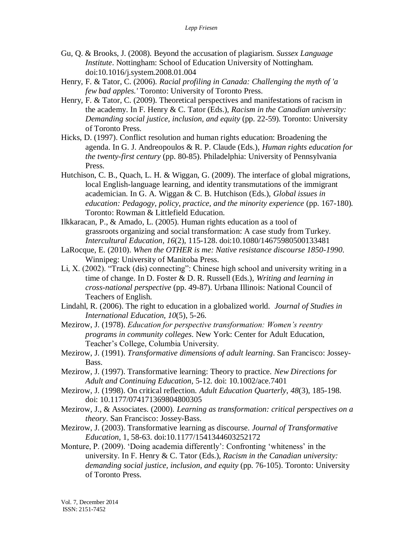- Gu, Q. & Brooks, J. (2008). Beyond the accusation of plagiarism. *Sussex Language Institute*. Nottingham: School of Education University of Nottingham. doi:10.1016/j.system.2008.01.004
- Henry, F. & Tator, C. (2006). *Racial profiling in Canada: Challenging the myth of 'a few bad apples.'* Toronto: University of Toronto Press.
- Henry, F. & Tator, C. (2009). Theoretical perspectives and manifestations of racism in the academy. In F. Henry & C. Tator (Eds.), *Racism in the Canadian university: Demanding social justice, inclusion, and equity* (pp. 22-59)*.* Toronto: University of Toronto Press.
- Hicks, D. (1997). Conflict resolution and human rights education: Broadening the agenda. In G. J. Andreopoulos & R. P. Claude (Eds.), *Human rights education for the twenty-first century* (pp. 80-85). Philadelphia: University of Pennsylvania Press.
- Hutchison, C. B., Quach, L. H. & Wiggan, G. (2009). The interface of global migrations, local English-language learning, and identity transmutations of the immigrant academician. In G. A. Wiggan & C. B. Hutchison (Eds.), *Global issues in education: Pedagogy, policy, practice, and the minority experience* (pp. 167-180)*.* Toronto: Rowman & Littlefield Education.
- Ilkkaracan, P., & Amado, L. (2005). Human rights education as a tool of grassroots organizing and social transformation: A case study from Turkey. *Intercultural Education*, *16*(2), 115-128. doi:10.1080/14675980500133481
- LaRocque, E. (2010). *When the OTHER is me: Native resistance discourse 1850-1990*. Winnipeg: University of Manitoba Press.
- Li, X. (2002). "Track (dis) connecting": Chinese high school and university writing in a time of change. In D. Foster & D. R. Russell (Eds.), *Writing and learning in cross-national perspective* (pp. 49-87). Urbana Illinois: National Council of Teachers of English.
- Lindahl, R. (2006). The right to education in a globalized world. *Journal of Studies in International Education*, *10*(5), 5-26.
- Mezirow, J. (1978). *Education for perspective transformation: Women's reentry programs in community colleges*. New York: Center for Adult Education, Teacher's College, Columbia University.
- Mezirow, J. (1991). *Transformative dimensions of adult learning*. San Francisco: Jossey-Bass.
- Mezirow, J. (1997). Transformative learning: Theory to practice. *New Directions for Adult and Continuing Education*, 5-12. doi: 10.1002/ace.7401
- Mezirow, J. (1998). On critical reflection. *Adult Education Quarterly*, *48*(3), 185-198. doi: 10.1177/074171369804800305
- Mezirow, J., & Associates. (2000). *Learning as transformation: critical perspectives on a theory*. San Francisco: Jossey-Bass.
- Mezirow, J. (2003). Transformative learning as discourse. *Journal of Transformative Education*, 1, 58-63. doi:10.1177/1541344603252172
- Monture, P. (2009). 'Doing academia differently': Confronting 'whiteness' in the university. In F. Henry & C. Tator (Eds.), *Racism in the Canadian university: demanding social justice, inclusion, and equity* (pp. 76-105). Toronto: University of Toronto Press.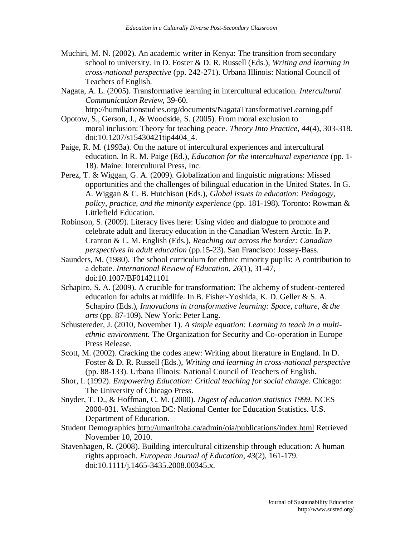- Muchiri, M. N. (2002). An academic writer in Kenya: The transition from secondary school to university. In D. Foster & D. R. Russell (Eds.), *Writing and learning in cross-national perspective* (pp. 242-271). Urbana Illinois: National Council of Teachers of English.
- Nagata, A. L. (2005). Transformative learning in intercultural education. *Intercultural Communication Review*, 39-60.
- http://humiliationstudies.org/documents/NagataTransformativeLearning.pdf Opotow, S., Gerson, J., & Woodside, S. (2005). From moral exclusion to moral inclusion: Theory for teaching peace. *Theory Into Practice*, *44*(4), 303-318. doi:10.1207/s15430421tip4404\_4.
- Paige, R. M. (1993a). On the nature of intercultural experiences and intercultural education. In R. M. Paige (Ed.), *Education for the intercultural experience* (pp. 1- 18). Maine: Intercultural Press, Inc.
- Perez, T. & Wiggan, G. A. (2009). Globalization and linguistic migrations: Missed opportunities and the challenges of bilingual education in the United States. In G. A. Wiggan & C. B. Hutchison (Eds.), *Global issues in education: Pedagogy, policy, practice, and the minority experience* (pp. 181-198)*.* Toronto: Rowman & Littlefield Education.
- Robinson, S. (2009). Literacy lives here: Using video and dialogue to promote and celebrate adult and literacy education in the Canadian Western Arctic. In P. Cranton & L. M. English (Eds.), *Reaching out across the border: Canadian perspectives in adult education* (pp.15-23). San Francisco: Jossey-Bass.
- Saunders, M. (1980). The school curriculum for ethnic minority pupils: A contribution to a debate. *International Review of Education*, *26*(1), 31-47, doi:10.1007/BF01421101
- Schapiro, S. A. (2009). A crucible for transformation: The alchemy of student-centered education for adults at midlife. In B. Fisher-Yoshida, K. D. Geller & S. A. Schapiro (Eds.), *Innovations in transformative learning: Space, culture, & the arts* (pp. 87-109). New York: Peter Lang.
- Schustereder, J. (2010, November 1). *A simple equation: Learning to teach in a multiethnic environment.* The Organization for Security and Co-operation in Europe Press Release.
- Scott, M. (2002). Cracking the codes anew: Writing about literature in England. In D. Foster & D. R. Russell (Eds.), *Writing and learning in cross-national perspective* (pp. 88-133). Urbana Illinois: National Council of Teachers of English.
- Shor, I. (1992). *Empowering Education: Critical teaching for social change.* Chicago: The University of Chicago Press.
- Snyder, T. D., & Hoffman, C. M. (2000). *Digest of education statistics 1999*. NCES 2000-031. Washington DC: National Center for Education Statistics. U.S. Department of Education.
- Student Demographics<http://umanitoba.ca/admin/oia/publications/index.html> Retrieved November 10, 2010.
- Stavenhagen, R. (2008). Building intercultural citizenship through education: A human rights approach. *European Journal of Education*, *43*(2), 161-179. doi:10.1111/j.1465-3435.2008.00345.x.